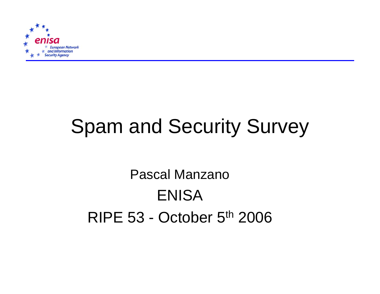

# Spam and Security Survey

Pascal ManzanoENISARIPE 53 - October 5th 2006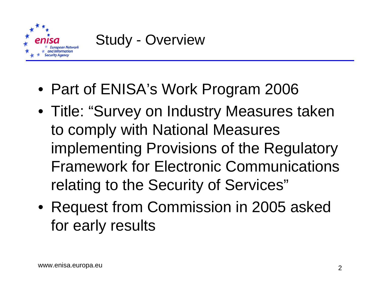

- Part of ENISA's Work Program 2006
- Title: "Survey on Industry Measures taken to comply with National Measures implementing Provisions of the Regulatory Framework for Electronic Communications relating to the Security of Services"
- Request from Commission in 2005 asked for early results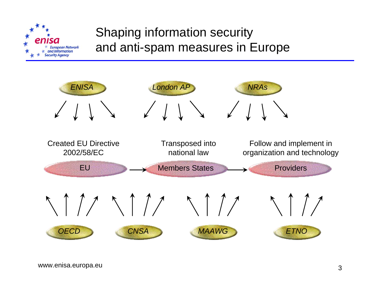

### Shaping information security and anti-spam measures in Europe

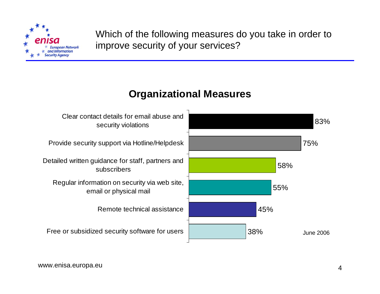

Which of the following measures do you take in order to improve security of your services?

#### **Organizational Measures**

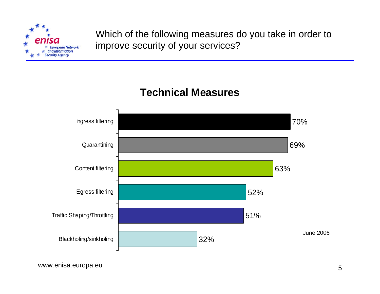

Which of the following measures do you take in order to improve security of your services?

#### **Technical Measures**

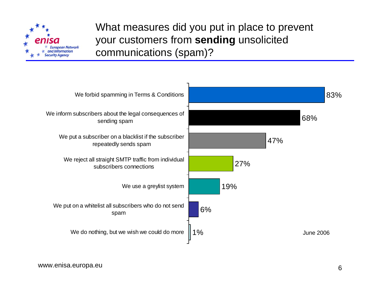

What measures did you put in place to prevent your customers from **sending** unsolicited communications (spam)?

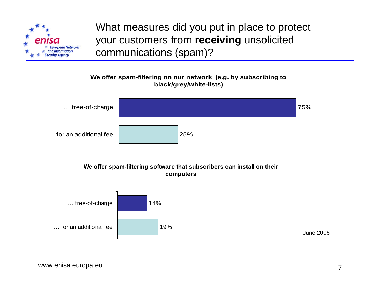

What measures did you put in place to protect your customers from **receiving** unsolicited communications (spam)?



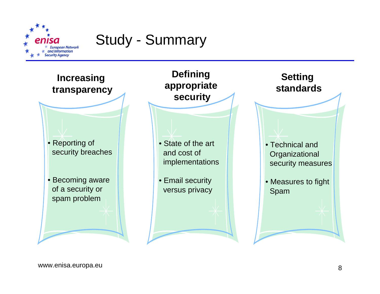

## Study - Summary